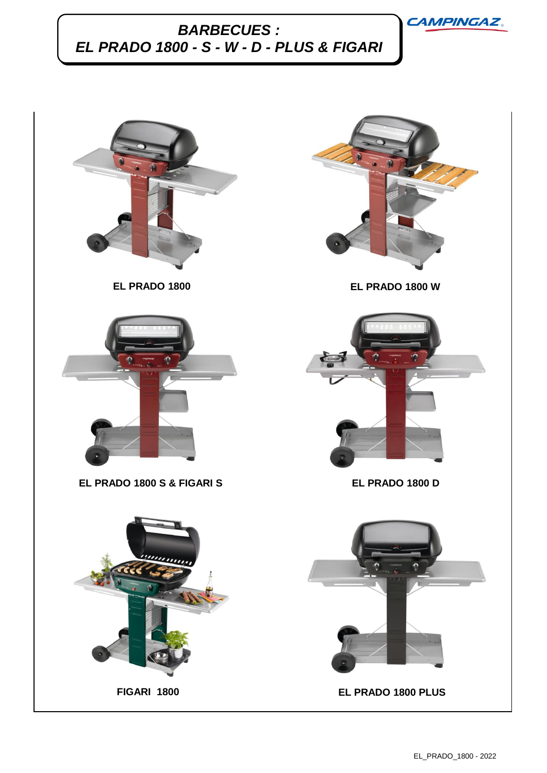

## *BARBECUES : EL PRADO 1800 - S - W - D - PLUS & FIGARI*

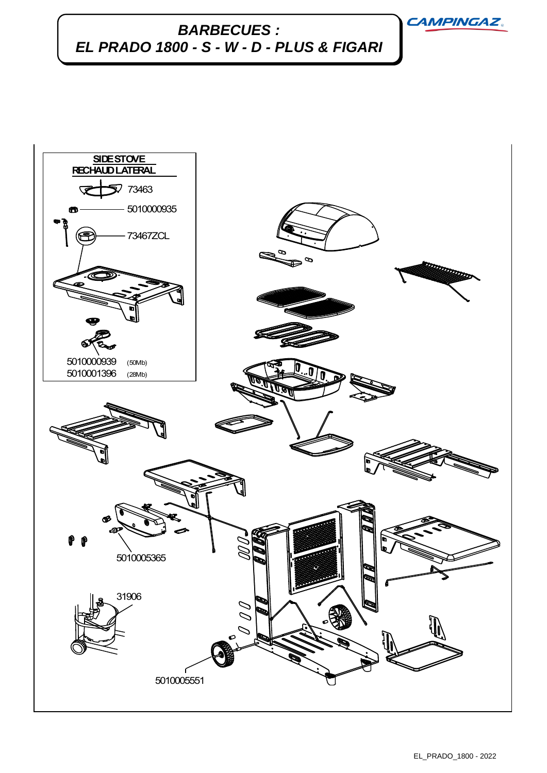**CAMPINGAZ** 

## *BARBECUES : EL PRADO 1800 - S - W - D - PLUS & FIGARI*